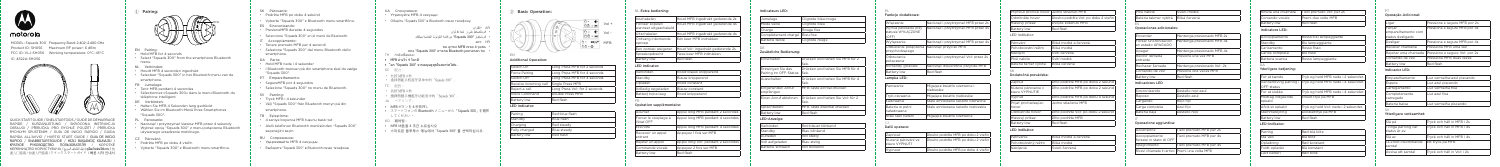

# motorola

MODEL: Squads 300 Frequency Band: 2.402–2.480 GHz Product ID: SH056 Maximum RF power: 6 dBm FCC ID: VLJ-SH056 Working temperature: 0°C~45°C IC: 4522A-SH056



QUICK START GUIDE / SNELSTARTGIDS / GUIDE DE DÉMARRAGE KURZANLEITUNG / SKRÓCONA INSTRUKCJ/ OBSŁUGI / PŘÍRUČKA PRO RYCHLÉ POUŽITÍ / PRÍRUČKA RÝCHLYM SPUSTENÍM / GUÍA DE INICIO RÁPIDO / GUIDA RAPIDA ALL'AVVIO / HURTIG START GUIDE / GUIA DE INÍCIO / SNABBSTARTSGUIDE / HIZLI BASLANGIC KILAVUZU КРАТКОЕ РУКОВОДСТВО ПОЛЬЗОВАТЕЛЯ / КОРОТКЕ КЕРІВНИЦТВО КОРИСТУВАЧА / السریع التشغیل دلیل / คูมือเริ่มตนใชงาน / 快 速入门指南 / 快速入門指南 / クイックスタートガイド / 빠른 시작 안내서



- EN Pairing:
- Hold MFB for 4 seconds
- Select "Squads 300" from the smartphone Bluetooth menu.
- NL Verbinden:
- Houdt MFB 4 seconden ingedrukt
- Selecteer "Squads 300" in het Bluetooth-menu van de smartphone.
- FR Jumelage:
- Tenir MFB pendant 4 secondes
- Sélectionnez «Squads 300» dans le menu Bluetooth du téléphone intelligent.
- DE Verbinden:
- Halten Sie MFB 4 Sekunden lang gedrückt
- Wählen Sie im Bluetooth-Menü Ihres Smartphones "Squads 300".
- PL Parowanie:
- Nacisnąć i przytrzymać klawisz MFB przez 4 sekundy
- Wybrać opcję "Squads 300" z menu połączenia Bluetooth używanego urządzenia mobilnego.
- Párování:
- Podržte MFB po dobu 4 vteřin
- Vyberte "Squads 300" z Bluetooth menu smartfonu.
- SK Párovanie:
- Podržte MFB po dobu 4 sekúnd
- Vyberte "Squads 300" z Bluetooth menu smartfónu.
- ES Sincronizando:
- PresioneMFB durante 4 segundos
- Seleccione "Squads 300" en el menú de Bluetooth.
- IT Accoppiamento:
- Tenere premuto MFB per 4 secondi
- Seleziona "Squads 300" dal menu Bluetooth dello smartphone.
- DA Parre:
- Hold MFB nede i 4 sekunder
- I Bluetooth-menuen på din smartphone skal du vælge "Squads 300".
- PT Emparelhamento:
- SegureMFB por 4 segundos
- Selecione "Squads 300" no menu de Bluetooth.
- SV Parning:
- Tryck MFB i 4 sekunder
- Välj "Squads 300" från Bluetooth menyn på din
- smartphone.
- TR Eşleştirme:
- 4 saniye boyunca MFB tuşunu basılı tut
- Akıllı telefonun Bluetooth menüsünden "Squads 300"
- seçeneğini seçin.
- RU Сопряжение:
- Удерживайте MFB 4 секунды
- Выберите "Squads 300" в Bluetooth меню телефона.

## Verbinden Rood-blauw knipperend Blauw knipperend ood constant Volledig opgeladen IBlauw constant

Batterij bijna leeg Rood knipperend

- UA Сполучення:
- Утримуйте MFB 4 секунди
- Оберіть "Squads 300" в Bluetooth меню телефону.
	- AR **االقتران** • قم بالضغط على ز لمدة 4 ثوان
	- قم باختیار "300 Squads "من قائمة البلوتوث الخاصة بھاتفك.
		- HR **זיווג**
		- במשך 4 שניות MFB החזיקו את
- .של הסמארטפון Bluetooth מתפריט "300 Squads "בחרו TH กําลังเชื่อมต่อ:
	-
- MFB ค้างไว้ 4 วินาที
- ือก "Squads 300" จากเมนูบลูทูธในสมาร์ทโฟน.
- SC 配对:
- 长按 MFB 4 秒
- 选择智能手机蓝牙菜单中的"Squads 300".
- TC 配對:
- 長按 MFB 4 秒
- 選擇智慧手機藍牙功能表中的"Squads 300".
- JA ペアリング :
- MFB ボタンを 4 秒長押し
- スマートフォンの Bluetooth メニューから「Squads 300」を選択 してください。
- KO **페어링** :
- MFB 버튼을 4 초간 누르십시오
- 스마트폰 블루투스 메뉴에서 "Squads 300" 를 선택하십시오 .

## ② Basic Operation:



## Additional Operation:

| Long Press MFB for 2 seconds  |
|-------------------------------|
| Long Press MFB for 4 seconds  |
| Long Press MFB for 4 seconds  |
| Single Press MFB              |
| Long Press Vol- for 2 seconds |
| Double Press MFB              |
| Red flash                     |
|                               |

Dlho podržte MFB po dobu 2 sekúnd vo podržte MFB po dobu 4 sekúno

## LED Indicator:

| Pairing            | l Red-blue flash |
|--------------------|------------------|
| Standby            | Blue flash       |
| Charging           | Red steady       |
| Fully charged      | Blue steady      |
| <b>Battery low</b> | Red flash        |

## Plne nabité Svieti modrá Batéria takmer vybitá Bliká červená

#### NL Extra bediening:

| Inschakelen                              | Houd MFB ingedrukt gedurende 2s  |
|------------------------------------------|----------------------------------|
| Forceer kopelen<br>wanneer uitgeschakeld | Houd MFB ingedrukt gedurende 4s  |
| Uitschakelen                             | Houd MFB ingedrukt gedurende 4s  |
| Ontvang inkomende<br>oproep              | Fén keer MFB indrukken           |
| Een oproep weigeren                      | Houd Vol- ingedrukt gedurende 2s |
| Spraakopdracht                           | Twee keer MFB indrukken          |
| <b>Battery low</b>                       | Red flash                        |
| <b>LED Indicator:</b>                    |                                  |

FR

## Opération supplémentaire:

| Allumer                            | Appui long MFB pendant 2 secondes  |
|------------------------------------|------------------------------------|
| Forcer le couplage à<br>l'état OFF | Appui long MFB pendant 4 secondes  |
| Éteindre                           | Appui long MFB pendant 4 secondes  |
| Recevoir un appel<br>entrant       | Appuyez 1 fois sur MFB             |
| Rejeter un appel                   | Appui long Vol- pendant 2 secondes |
| Commande vocale                    | Appuyez 2 fois sur MFB             |
| <b>Battery low</b>                 | Red flash                          |

#### Indicateurs LED:

| Jumelage                      | Clignote bleu-rouge |
|-------------------------------|---------------------|
| Mode veille                   | Clignote bleu       |
| Charge                        | Rouge fixe          |
| Complètement chargé Bleu fixe |                     |
| Batterie faible               | Clignote rouge      |
|                               |                     |

DE

#### Zusätzliche Bedienung:

| Finschalten                                | Drücken und halten Sie MFB für 2<br>Sek.  |
|--------------------------------------------|-------------------------------------------|
| Erzwingen Sie das<br>Pairing im OFF-Status | Drücken und halten Sie MFB für 4<br>Sek.  |
| Ausschalten                                | Drücken und halten Sie MFB für 4<br>Sek.  |
| Eingehenden Anruf<br>empfangen             | MFB-Taste einmal drücken                  |
| Finen Anruf ablehnen                       | Drücken und halten Sie Vol- für 2<br>Sek. |
| Sprachbefehl                               | MFB Taste zweimal drücken                 |
| <b>Battery low</b>                         | Red flash                                 |
| LED-Anzeige:                               |                                           |
| Verbinden                                  | Rot-blauer blinkend                       |
| Standby                                    | Blau blinkend                             |
| Aufladen                                   | Rot stetia                                |
| Voll aufgeladen                            | Blau stetig                               |
| Batterie schwach                           | Rot blinkend                              |
|                                            |                                           |

| Funkcie dodatkowe: |  |
|--------------------|--|
|                    |  |

| Włączanie                                           | Nacisnać i przytrzymać MFB przez 2s  |
|-----------------------------------------------------|--------------------------------------|
| Wymuś parowanie przy<br>statusie WYŁĄCZONE<br>(OFF) | Nacisnać i przytrzymać MFB przez 4s  |
| Wyłączanie                                          | Nacisnąć i przytrzymać MFB przez 4s  |
| Odbieranie połączenia<br>przychodzącego             | Nacisnąć przycisk MFB                |
| Odrzucanie<br>połaczenia                            | Nacisnać i przytrzymać Vol- przez 2s |
| Komendy głosowe                                     | Nacisnąć dwukrotnie przycisk MFB     |
| <b>Battery low</b>                                  | Red flash                            |

| Parowanie                     | Migające światło czerwone i<br>niebieskie |
|-------------------------------|-------------------------------------------|
| Tryb czuwania                 | Migające światło niebieskie               |
| ł adowanie                    | Stale emitowane światło czerwone          |
| Bateria w pełni<br>naładowana | Stale emitowane światło niebieskie        |
| Niski stan baterii            | Migające światło czerwone                 |

# CZ Další operace:

| Zapnout                             | Dlouho podržte MFB po dobu 2 vteřin |
|-------------------------------------|-------------------------------------|
| Nucené párování ve<br>stavu VYPNUTÍ | Dlouho podržte MFB po dobu 2 vteřin |
| Vypnout                             | Dlouho podržte MFB po dobu 4 vteřin |

| Přiimout příchozí hovor | Jedno stisknutí MFB                  |
|-------------------------|--------------------------------------|
| Odmítněte hovor         | Dlouho podržte Vol- po dobu 2 vteřir |
| Hlasový příkaz          | Dvoiité stisknutí MFB                |
| Battery low             | Red flash                            |
| LED indikátor:          |                                      |
| Párování                | Bliká modrá a červená                |
| Pohotovostní režim      | Bliká modrá                          |
| Nabíjení                | Svítí červená                        |
| Plně nabito             | Svítí modrá                          |
| Batérie téměř vybitá    | Bliká červená                        |

SK

Dodatočná prevádzka:

Zapnúť Dlho podržte MFB po dobu 2 sekúnd

Nútené párovanie v stavu VYPNUTIE

Prijať prichádzajúci hovor

Jedno stlačenie MFB

Odmietnite hovor Dlho podržte Vol- po dobu 2 sekúnd

Hlasový príkaz Dlho podržte MFB Battery low Red flash

LED indikátor:

Párovanie Bliká modrá a červená Pohotovostný režim Bliká modrá Nabíjanie Svieti červená

ES

#### Operaciones adicionales:

| Encender                                   | Mantenga presionado MFB 2s |
|--------------------------------------------|----------------------------|
| Forzar sincronización<br>en estado APAGADO | Mantenga presionado MFB 4s |
| Apagar                                     | Mantenga presionado MFB 4s |
| Recibir llamada<br>entrante                | Presione una vez MFB       |
| Rechazar llamada                           | Mantenga presionado Vol-2s |
| Comando de voz                             | Presione dos veces MFB     |
| Battery low                                | Red flash                  |
| Indianaloves LED                           |                            |

#### Indicadores LED

| l Sincronizando | Destello rojo-azul |
|-----------------|--------------------|
| Reposo          | l Destello azul    |
| Cargando        | Rojo fijo          |
| Carga completa  | Azul fiio          |
| Batería baia    | Destello roio      |

IT

#### Operazione aggiuntiva:

| Accensione                                    | Tieni premuto MFB per 2s |
|-----------------------------------------------|--------------------------|
| Accoppiamento<br>forzato in stato di OFF I    | Tieni premuto MFB per 4s |
| Spegnimento                                   | Tieni premuto MFB per 4s |
| Ricevi chiamate in arrivo Premi una volta MFB |                          |

| Rifiuta una chiamata | Tieni premuto Vol- per 2s |
|----------------------|---------------------------|
| Comando vocale       | Premi due volte MFB       |
| <b>Battery low</b>   | Red flash                 |

## Indicatore LED:

| Accoppiamento    | l Rosso-blu Iampeggiante |
|------------------|--------------------------|
| Standby          | Blu lampeggiante         |
| Caricamento      | Rosso fisso              |
| Carica completa  | Blu fisso                |
| Batteria scarica | Rosso lampeggiante       |

#### DA

#### Yderligere betjening:

| For at tænde                        | Tryk og hold MFB nede i 2 sekunder.  |  |
|-------------------------------------|--------------------------------------|--|
| Gennemtving parring i<br>OFF-status | Tryk og hold MFB nede i 4 sekunder.  |  |
| For at slukke                       | Tryk og hold MFB nede i 4 sekunder.  |  |
| Modtag indgående<br>opkald          | Enkelt tryk på MFB                   |  |
| Afvis et opkald                     | Tryk og hold Vol- nede i 2 sekunder. |  |
| Stemmestyring                       | Dobbelttryk på MFB                   |  |
| <b>Battery low</b>                  | Red flash                            |  |
|                                     |                                      |  |

#### LED-indikator:

| Parring       | Rød-blå blitz |
|---------------|---------------|
| Stå ved       | Blå blitz     |
| Opladning     | Rød konstant  |
| Fuldt opladet | Blå konstant  |
| Lavt batteri  | Rød blink     |

## **PT**

## Operação Adicional:

| Ligar                                            | Pressione e segure MFB por 2s  |
|--------------------------------------------------|--------------------------------|
| Forcar<br>emparelhamento com<br>status desligado | Pressione e segure MFB por 4s  |
| Desligar                                         | Pressione e segure MFB por 4s  |
| Receber chamada                                  | Pressione MFB uma yez          |
| Reieitar uma chamada                             | Pressione e segure Vol- por 2s |
| Comando de voz                                   | Pressione MFB duas vezes       |
| <b>Battery low</b>                               | Red flash                      |

## Indicador LED:

| Emparelhamento             | Luz vermelha-azul piscando |
|----------------------------|----------------------------|
| Espera                     | Luz azul piscando          |
| Carregamento               | Luz vermelha fixa          |
| Completamente<br>carregado | Luz azul fixa              |
| Bateria baixa              | Luz vermelha piscando      |

#### SV

### Ytterligare verksamhet:

| Slå på                              | Tryck och håll in MFB i 2s  |
|-------------------------------------|-----------------------------|
| Tvinga parning när<br>status är av. | Tryck och håll in MFB i 4s  |
| Slå av                              | Tryck och håll in MFB i 4s  |
| Ta emot inkommande<br>samtal        | Ett tryck på MFB            |
| Avvisa ett samtal                   | Tryck och håll in Vol- i 2s |